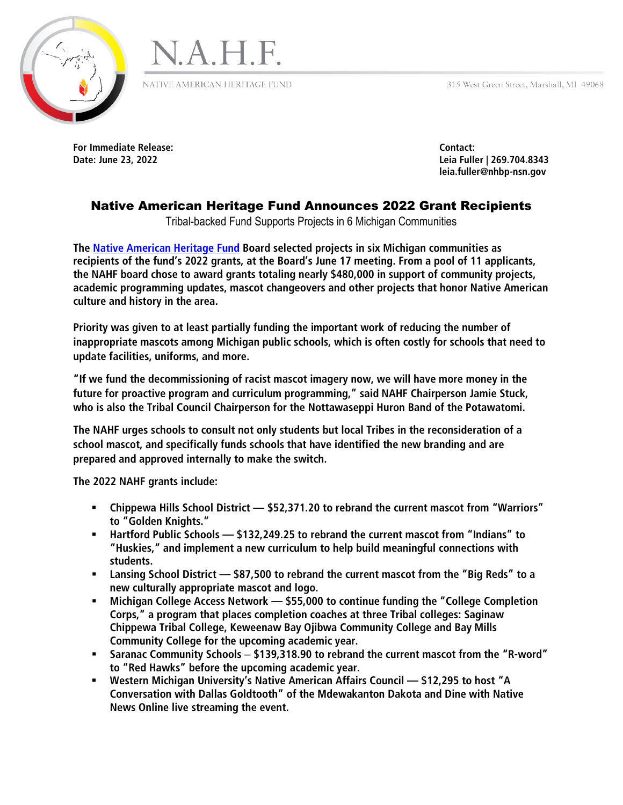315 West Green Street, Marshall, MI 49068





NATIVE AMERICAN HERITAGE FUND

**For Immediate Release: Contact:** 

**Date: June 23, 2022 Leia Fuller | 269.704.8343 leia.fuller@nhbp-nsn.gov**

## Native American Heritage Fund Announces 2022 Grant Recipients

Tribal-backed Fund Supports Projects in 6 Michigan Communities

**The [Native American Heritage Fund](https://nahfund.com/) Board selected projects in six Michigan communities as recipients of the fund's 2022 grants, at the Board's June 17 meeting. From a pool of 11 applicants, the NAHF board chose to award grants totaling nearly \$480,000 in support of community projects, academic programming updates, mascot changeovers and other projects that honor Native American culture and history in the area.**

**Priority was given to at least partially funding the important work of reducing the number of inappropriate mascots among Michigan public schools, which is often costly for schools that need to update facilities, uniforms, and more.**

**"If we fund the decommissioning of racist mascot imagery now, we will have more money in the future for proactive program and curriculum programming," said NAHF Chairperson Jamie Stuck, who is also the Tribal Council Chairperson for the Nottawaseppi Huron Band of the Potawatomi.**

**The NAHF urges schools to consult not only students but local Tribes in the reconsideration of a school mascot, and specifically funds schools that have identified the new branding and are prepared and approved internally to make the switch.**

**The 2022 NAHF grants include:**

- **Chippewa Hills School District — \$52,371.20 to rebrand the current mascot from "Warriors" to "Golden Knights."**
- **Hartford Public Schools — \$132,249.25 to rebrand the current mascot from "Indians" to "Huskies," and implement a new curriculum to help build meaningful connections with students.**
- **Lansing School District — \$87,500 to rebrand the current mascot from the "Big Reds" to a new culturally appropriate mascot and logo.**
- **Michigan College Access Network — \$55,000 to continue funding the "College Completion Corps," a program that places completion coaches at three Tribal colleges: Saginaw Chippewa Tribal College, Keweenaw Bay Ojibwa Community College and Bay Mills Community College for the upcoming academic year.**
- **Saranac Community Schools \$139,318.90 to rebrand the current mascot from the "R-word" to "Red Hawks" before the upcoming academic year.**
- **Western Michigan University's Native American Affairs Council — \$12,295 to host "A Conversation with Dallas Goldtooth" of the Mdewakanton Dakota and Dine with Native News Online live streaming the event.**